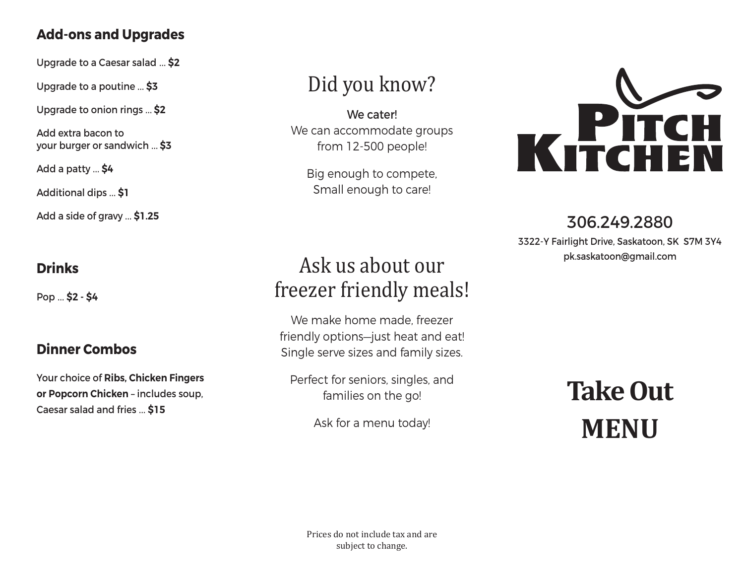#### **Add-ons and Upgrades**

Upgrade to a Caesar salad … **\$2**

Upgrade to a poutine … **\$3**

Upgrade to onion rings … **\$2**

Add extra bacon to your burger or sandwich … **\$3**

Add a patty … **\$4**

Additional dips … **\$1**

Add a side of gravy … **\$1.25**

## **Drinks**

Pop … **\$2 - \$4**

## **Dinner Combos**

Your choice of **Ribs, Chicken Fingers or Popcorn Chicken** – includes soup, Caesar salad and fries … **\$15**

# Did you know?

We cater! We can accommodate groups from 12-500 people!

Big enough to compete, Small enough to care!

# Ask us about our freezer friendly meals!

We make home made, freezer friendly options—just heat and eat! Single serve sizes and family sizes.

Perfect for seniors, singles, and families on the go!

Ask for a menu today!



# 306.249.2880

3322-Y Fairlight Drive, Saskatoon, SK S7M 3Y4 pk.saskatoon@gmail.com

# **Take Out MENU**